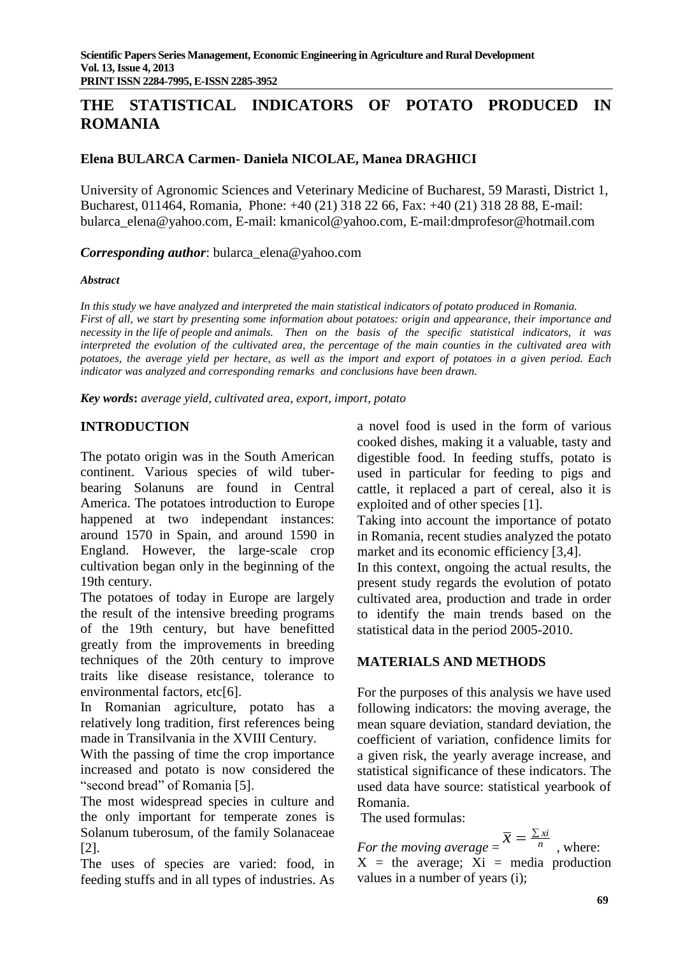# **THE STATISTICAL INDICATORS OF POTATO PRODUCED IN ROMANIA**

### **Elena BULARCA Carmen- Daniela NICOLAE, Manea DRAGHICI**

University of Agronomic Sciences and Veterinary Medicine of Bucharest, 59 Marasti, District 1, Bucharest, 011464, Romania, Phone: +40 (21) 318 22 66, Fax: +40 (21) 318 28 88, E-mail: [bularca\\_elena@yahoo.com,](mailto:bularca_elena@yahoo.com) E-mail: [kmanicol@yahoo.com,](mailto:kmanicol@yahoo.com) E-mail:dmprofesor@hotmail.com

*Corresponding author*: bularca\_elena@yahoo.com

#### *Abstract*

*In this study we have analyzed and interpreted the main statistical indicators of potato produced in Romania. First of all, we start by presenting some information about potatoes: origin and appearance, their importance and necessity in the life of people and animals. Then on the basis of the specific statistical indicators, it was interpreted the evolution of the cultivated area, the percentage of the main counties in the cultivated area with potatoes, the average yield per hectare, as well as the import and export of potatoes in a given period. Each indicator was analyzed and corresponding remarks and conclusions have been drawn.*

*Key words***:** *average yield, cultivated area, export, import, potato*

# **INTRODUCTION**

The potato origin was in the South American continent. Various species of wild tuberbearing Solanuns are found in Central America. The potatoes introduction to Europe happened at two independant instances: around 1570 in Spain, and around 1590 in England. However, the large-scale crop cultivation began only in the beginning of the 19th century.

The potatoes of today in Europe are largely the result of the intensive breeding programs of the 19th century, but have benefitted greatly from the improvements in breeding techniques of the 20th century to improve traits like disease resistance, tolerance to environmental factors, etc[6].

In Romanian agriculture, potato has a relatively long tradition, first references being made in Transilvania in the XVIII Century.

With the passing of time the crop importance increased and potato is now considered the "second bread" of Romania [5].

The most widespread species in culture and the only important for temperate zones is Solanum tuberosum, of the family Solanaceae [2].

The uses of species are varied: food, in feeding stuffs and in all types of industries. As

a novel food is used in the form of various cooked dishes, making it a valuable, tasty and digestible food. In feeding stuffs, potato is used in particular for feeding to pigs and cattle, it replaced a part of cereal, also it is exploited and of other species [1].

Taking into account the importance of potato in Romania, recent studies analyzed the potato market and its economic efficiency [3,4].

In this context, ongoing the actual results, the present study regards the evolution of potato cultivated area, production and trade in order to identify the main trends based on the statistical data in the period 2005-2010.

### **MATERIALS AND METHODS**

For the purposes of this analysis we have used following indicators: the moving average, the mean square deviation, standard deviation, the coefficient of variation, confidence limits for a given risk, the yearly average increase, and statistical significance of these indicators. The used data have source: statistical yearbook of Romania.

The used formulas:

*For the moving average*  $=$   $\overline{x}$   $=$   $\frac{\sum x_i}{n}$ , where:  $X =$  the average;  $Xi =$  media production values in a number of years (i);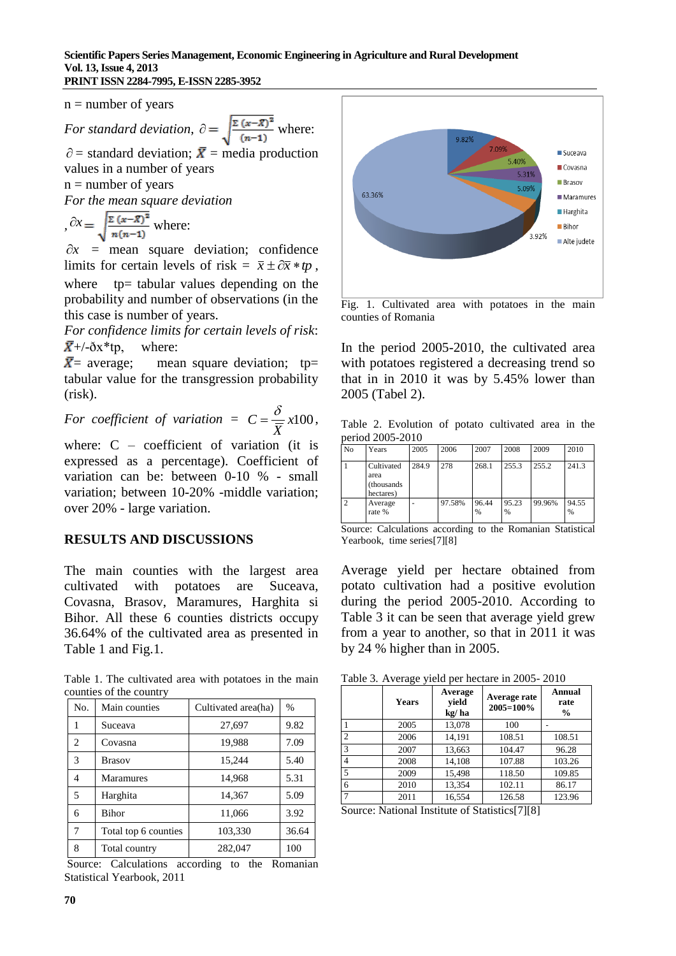$n =$  number of years

For standard deviation, 
$$
\partial = \sqrt{\frac{\Sigma (x - \overline{x})^2}{(n-1)}}
$$
 where:

 $\partial$  = standard deviation;  $\bar{X}$  = media production values in a number of years

 $n =$  number of years

*For the mean square deviation*

$$
\partial x = \sqrt{\frac{\Sigma (x-\overline{x})^2}{n(n-1)}} \text{ where:}
$$

 $\partial x$  = mean square deviation; confidence limits for certain levels of risk =  $\bar{x} \pm \partial \bar{x} * tp$ , where tp= tabular values depending on the probability and number of observations (in the this case is number of years.

*For confidence limits for certain levels of risk*:  $\overline{X}$ +/- $\delta$ x\*tp, where:

 $\bar{X}$  = average; mean square deviation; tp= tabular value for the transgression probability (risk).

For coefficient of variation =  $C = \frac{b}{\sqrt{a}} \times 100$ *X*  $C = \frac{\delta}{\sqrt{2}} \times 100,$ where: C – coefficient of variation (it is

expressed as a percentage). Coefficient of variation can be: between 0-10 % - small variation; between 10-20% -middle variation; over 20% - large variation.

#### **RESULTS AND DISCUSSIONS**

The main counties with the largest area cultivated with potatoes are Suceava, Covasna, Brasov, Maramures, Harghita si Bihor. All these 6 counties districts occupy 36.64% of the cultivated area as presented in Table 1 and Fig.1.

Table 1. The cultivated area with potatoes in the main counties of the country

| No.            | Main counties        | Cultivated area(ha) | $\%$  |
|----------------|----------------------|---------------------|-------|
| 1              | Suceava              | 27,697              | 9.82  |
| $\overline{c}$ | Covasna              | 19,988              | 7.09  |
| 3              | <b>Brasov</b>        | 15,244              | 5.40  |
| 4              | <b>Maramures</b>     | 14,968              | 5.31  |
| 5              | Harghita             | 14,367              | 5.09  |
| 6              | Bihor                | 11,066              | 3.92  |
| 7              | Total top 6 counties | 103,330             | 36.64 |
| 8              | Total country        | 282,047             | 100   |

Source: Calculations according to the Romanian Statistical Yearbook, 2011



Fig. 1. Cultivated area with potatoes in the main counties of Romania

In the period 2005-2010, the cultivated area with potatoes registered a decreasing trend so that in in 2010 it was by 5.45% lower than 2005 (Tabel 2).

Table 2. Evolution of potato cultivated area in the period 2005-2010

| N <sub>0</sub> | Years                                          | 2005  | 2006   | 2007          | 2008       | 2009   | 2010       |
|----------------|------------------------------------------------|-------|--------|---------------|------------|--------|------------|
|                | Cultivated<br>area<br>(thousands)<br>hectares) | 284.9 | 278    | 268.1         | 255.3      | 255.2  | 241.3      |
| $\overline{2}$ | Average<br>rate %                              |       | 97.58% | 96.44<br>$\%$ | 95.23<br>% | 99.96% | 94.55<br>% |

Source: Calculations according to the Romanian Statistical Yearbook, time series[7][8]

Average yield per hectare obtained from potato cultivation had a positive evolution during the period 2005-2010. According to Table 3 it can be seen that average yield grew from a year to another, so that in 2011 it was by 24 % higher than in 2005.

Table 3. Average yield per hectare in 2005- 2010

|                | <b>Years</b> | Average<br>vield<br>kg/ha | Average rate<br>2005=100% | Annual<br>rate<br>$\frac{6}{9}$ |
|----------------|--------------|---------------------------|---------------------------|---------------------------------|
|                | 2005         | 13,078                    | 100                       |                                 |
| $\overline{c}$ | 2006         | 14.191                    | 108.51                    | 108.51                          |
| 3              | 2007         | 13,663                    | 104.47                    | 96.28                           |
| 4              | 2008         | 14,108                    | 107.88                    | 103.26                          |
| 5              | 2009         | 15,498                    | 118.50                    | 109.85                          |
| 6              | 2010         | 13.354                    | 102.11                    | 86.17                           |
| $\mathcal{I}$  | 2011         | 16.554                    | 126.58                    | 123.96                          |

Source: National Institute of Statistics[7][8]